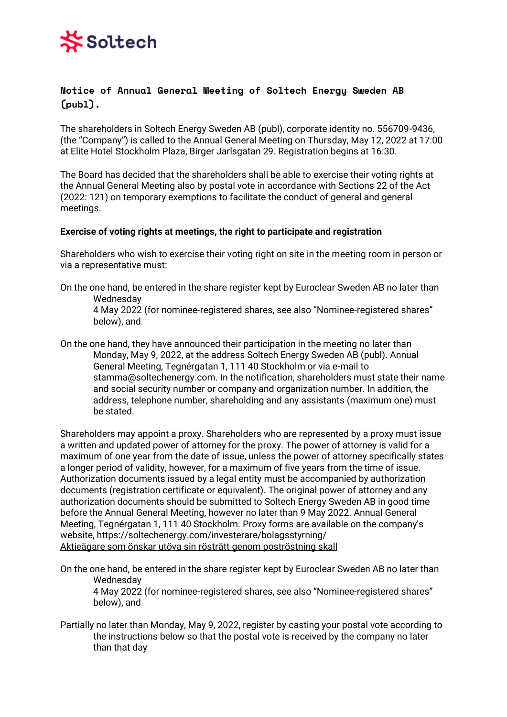# Soltech

## **Notice of Annual General Meeting of Soltech Energy Sweden AB (publ).**

The shareholders in Soltech Energy Sweden AB (publ), corporate identity no. 556709-9436, (the "Company") is called to the Annual General Meeting on Thursday, May 12, 2022 at 17:00 at Elite Hotel Stockholm Plaza, Birger Jarlsgatan 29. Registration begins at 16:30.

The Board has decided that the shareholders shall be able to exercise their voting rights at the Annual General Meeting also by postal vote in accordance with Sections 22 of the Act (2022: 121) on temporary exemptions to facilitate the conduct of general and general meetings.

## **Exercise of voting rights at meetings, the right to participate and registration**

Shareholders who wish to exercise their voting right on site in the meeting room in person or via a representative must:

On the one hand, be entered in the share register kept by Euroclear Sweden AB no later than Wednesday

4 May 2022 (for nominee-registered shares, see also "Nominee-registered shares" below), and

On the one hand, they have announced their participation in the meeting no later than Monday, May 9, 2022, at the address Soltech Energy Sweden AB (publ). Annual General Meeting, Tegnérgatan 1, 111 40 Stockholm or via e-mail to stamma@soltechenergy.com. In the notification, shareholders must state their name and social security number or company and organization number. In addition, the address, telephone number, shareholding and any assistants (maximum one) must be stated.

Shareholders may appoint a proxy. Shareholders who are represented by a proxy must issue a written and updated power of attorney for the proxy. The power of attorney is valid for a maximum of one year from the date of issue, unless the power of attorney specifically states a longer period of validity, however, for a maximum of five years from the time of issue. Authorization documents issued by a legal entity must be accompanied by authorization documents (registration certificate or equivalent). The original power of attorney and any authorization documents should be submitted to Soltech Energy Sweden AB in good time before the Annual General Meeting, however no later than 9 May 2022. Annual General Meeting, Tegnérgatan 1, 111 40 Stockholm. Proxy forms are available on the company's website, https://soltechenergy.com/investerare/bolagsstyrning/ Aktieägare som önskar utöva sin rösträtt genom poströstning skall

On the one hand, be entered in the share register kept by Euroclear Sweden AB no later than Wednesday

4 May 2022 (for nominee-registered shares, see also "Nominee-registered shares" below), and

Partially no later than Monday, May 9, 2022, register by casting your postal vote according to the instructions below so that the postal vote is received by the company no later than that day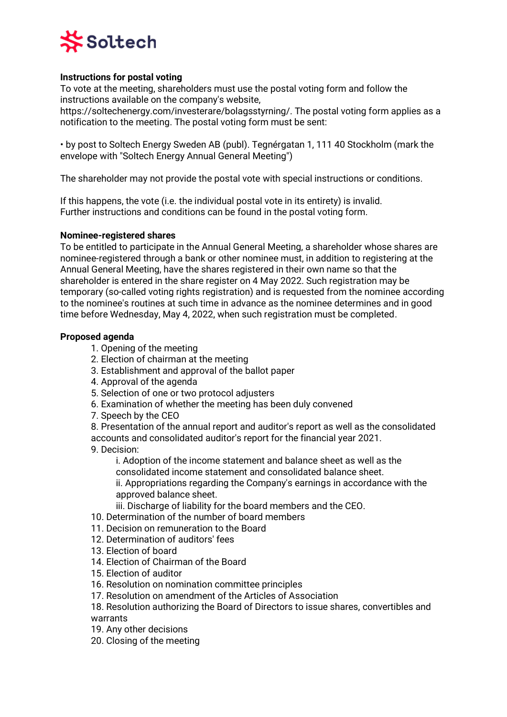

## **Instructions for postal voting**

To vote at the meeting, shareholders must use the postal voting form and follow the instructions available on the company's website,

https://soltechenergy.com/investerare/bolagsstyrning/. The postal voting form applies as a notification to the meeting. The postal voting form must be sent:

• by post to Soltech Energy Sweden AB (publ). Tegnérgatan 1, 111 40 Stockholm (mark the envelope with "Soltech Energy Annual General Meeting")

The shareholder may not provide the postal vote with special instructions or conditions.

If this happens, the vote (i.e. the individual postal vote in its entirety) is invalid. Further instructions and conditions can be found in the postal voting form.

#### **Nominee-registered shares**

To be entitled to participate in the Annual General Meeting, a shareholder whose shares are nominee-registered through a bank or other nominee must, in addition to registering at the Annual General Meeting, have the shares registered in their own name so that the shareholder is entered in the share register on 4 May 2022. Such registration may be temporary (so-called voting rights registration) and is requested from the nominee according to the nominee's routines at such time in advance as the nominee determines and in good time before Wednesday, May 4, 2022, when such registration must be completed.

#### **Proposed agenda**

- 1. Opening of the meeting
- 2. Election of chairman at the meeting
- 3. Establishment and approval of the ballot paper
- 4. Approval of the agenda
- 5. Selection of one or two protocol adjusters
- 6. Examination of whether the meeting has been duly convened
- 7. Speech by the CEO

8. Presentation of the annual report and auditor's report as well as the consolidated accounts and consolidated auditor's report for the financial year 2021. 9. Decision:

i. Adoption of the income statement and balance sheet as well as the consolidated income statement and consolidated balance sheet.

ii. Appropriations regarding the Company's earnings in accordance with the approved balance sheet.

- iii. Discharge of liability for the board members and the CEO.
- 10. Determination of the number of board members
- 11. Decision on remuneration to the Board
- 12. Determination of auditors' fees
- 13. Election of board
- 14. Election of Chairman of the Board
- 15. Election of auditor
- 16. Resolution on nomination committee principles
- 17. Resolution on amendment of the Articles of Association

18. Resolution authorizing the Board of Directors to issue shares, convertibles and warrants

- 19. Any other decisions
- 20. Closing of the meeting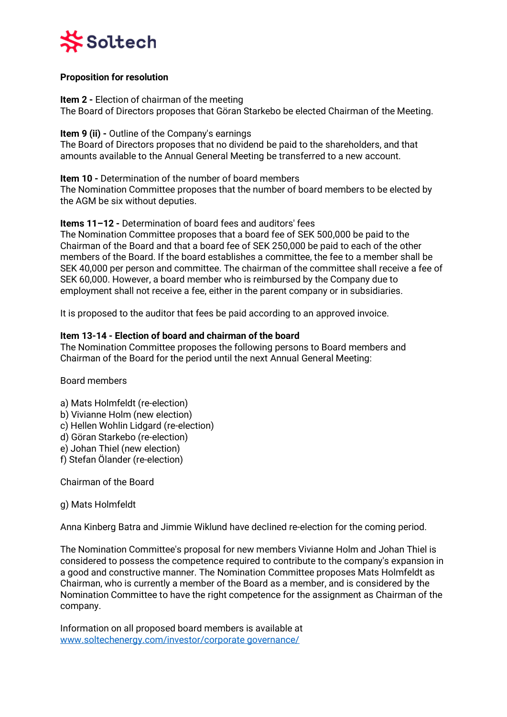

## **Proposition for resolution**

**Item 2 -** Election of chairman of the meeting The Board of Directors proposes that Göran Starkebo be elected Chairman of the Meeting.

**Item 9 (ii) -** Outline of the Company's earnings The Board of Directors proposes that no dividend be paid to the shareholders, and that amounts available to the Annual General Meeting be transferred to a new account.

## **Item 10 -** Determination of the number of board members

The Nomination Committee proposes that the number of board members to be elected by the AGM be six without deputies.

## **Items 11–12 -** Determination of board fees and auditors' fees

The Nomination Committee proposes that a board fee of SEK 500,000 be paid to the Chairman of the Board and that a board fee of SEK 250,000 be paid to each of the other members of the Board. If the board establishes a committee, the fee to a member shall be SEK 40,000 per person and committee. The chairman of the committee shall receive a fee of SEK 60,000. However, a board member who is reimbursed by the Company due to employment shall not receive a fee, either in the parent company or in subsidiaries.

It is proposed to the auditor that fees be paid according to an approved invoice.

## **Item 13-14 - Election of board and chairman of the board**

The Nomination Committee proposes the following persons to Board members and Chairman of the Board for the period until the next Annual General Meeting:

Board members

a) Mats Holmfeldt (re-election) b) Vivianne Holm (new election) c) Hellen Wohlin Lidgard (re-election) d) Göran Starkebo (re-election) e) Johan Thiel (new election) f) Stefan Ölander (re-election)

Chairman of the Board

g) Mats Holmfeldt

Anna Kinberg Batra and Jimmie Wiklund have declined re-election for the coming period.

The Nomination Committee's proposal for new members Vivianne Holm and Johan Thiel is considered to possess the competence required to contribute to the company's expansion in a good and constructive manner. The Nomination Committee proposes Mats Holmfeldt as Chairman, who is currently a member of the Board as a member, and is considered by the Nomination Committee to have the right competence for the assignment as Chairman of the company.

Information on all proposed board members is available at [www.soltechenergy.com/investor/corporate governance/](http://www.soltechenergy.com/investor/corporate%20governance/)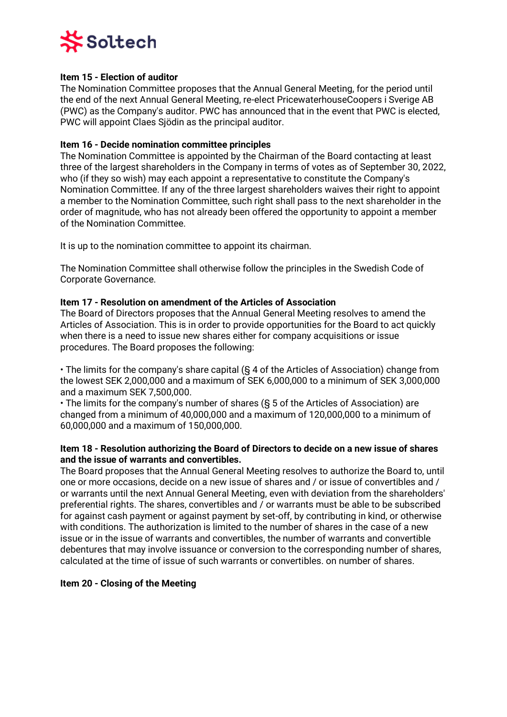

## **Item 15 - Election of auditor**

The Nomination Committee proposes that the Annual General Meeting, for the period until the end of the next Annual General Meeting, re-elect PricewaterhouseCoopers i Sverige AB (PWC) as the Company's auditor. PWC has announced that in the event that PWC is elected, PWC will appoint Claes Sjödin as the principal auditor.

## **Item 16 - Decide nomination committee principles**

The Nomination Committee is appointed by the Chairman of the Board contacting at least three of the largest shareholders in the Company in terms of votes as of September 30, 2022, who (if they so wish) may each appoint a representative to constitute the Company's Nomination Committee. If any of the three largest shareholders waives their right to appoint a member to the Nomination Committee, such right shall pass to the next shareholder in the order of magnitude, who has not already been offered the opportunity to appoint a member of the Nomination Committee.

It is up to the nomination committee to appoint its chairman.

The Nomination Committee shall otherwise follow the principles in the Swedish Code of Corporate Governance.

## **Item 17 - Resolution on amendment of the Articles of Association**

The Board of Directors proposes that the Annual General Meeting resolves to amend the Articles of Association. This is in order to provide opportunities for the Board to act quickly when there is a need to issue new shares either for company acquisitions or issue procedures. The Board proposes the following:

• The limits for the company's share capital (§ 4 of the Articles of Association) change from the lowest SEK 2,000,000 and a maximum of SEK 6,000,000 to a minimum of SEK 3,000,000 and a maximum SEK 7,500,000.

• The limits for the company's number of shares (§ 5 of the Articles of Association) are changed from a minimum of 40,000,000 and a maximum of 120,000,000 to a minimum of 60,000,000 and a maximum of 150,000,000.

## **Item 18 - Resolution authorizing the Board of Directors to decide on a new issue of shares and the issue of warrants and convertibles.**

The Board proposes that the Annual General Meeting resolves to authorize the Board to, until one or more occasions, decide on a new issue of shares and / or issue of convertibles and / or warrants until the next Annual General Meeting, even with deviation from the shareholders' preferential rights. The shares, convertibles and / or warrants must be able to be subscribed for against cash payment or against payment by set-off, by contributing in kind, or otherwise with conditions. The authorization is limited to the number of shares in the case of a new issue or in the issue of warrants and convertibles, the number of warrants and convertible debentures that may involve issuance or conversion to the corresponding number of shares, calculated at the time of issue of such warrants or convertibles. on number of shares.

## **Item 20 - Closing of the Meeting**